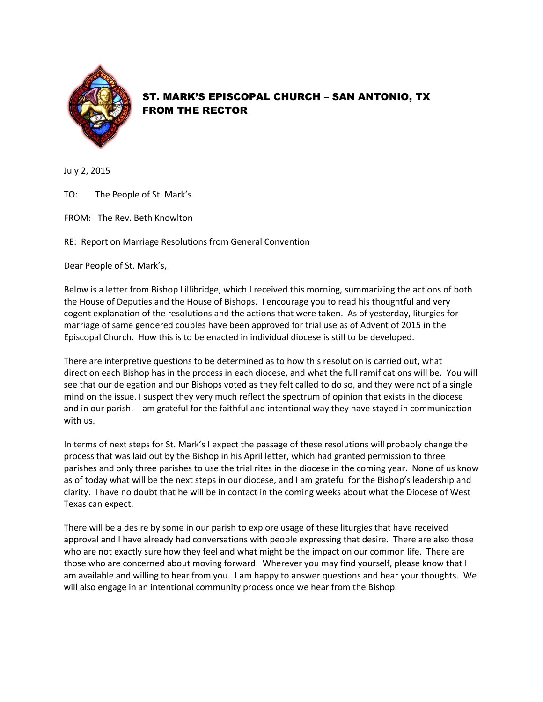

ST. MARK'S EPISCOPAL CHURCH – SAN ANTONIO, TX FROM THE RECTOR

July 2, 2015

TO: The People of St. Mark's

FROM: The Rev. Beth Knowlton

RE: Report on Marriage Resolutions from General Convention

Dear People of St. Mark's,

Below is a letter from Bishop Lillibridge, which I received this morning, summarizing the actions of both the House of Deputies and the House of Bishops. I encourage you to read his thoughtful and very cogent explanation of the resolutions and the actions that were taken. As of yesterday, liturgies for marriage of same gendered couples have been approved for trial use as of Advent of 2015 in the Episcopal Church. How this is to be enacted in individual diocese is still to be developed.

There are interpretive questions to be determined as to how this resolution is carried out, what direction each Bishop has in the process in each diocese, and what the full ramifications will be. You will see that our delegation and our Bishops voted as they felt called to do so, and they were not of a single mind on the issue. I suspect they very much reflect the spectrum of opinion that exists in the diocese and in our parish. I am grateful for the faithful and intentional way they have stayed in communication with us.

In terms of next steps for St. Mark's I expect the passage of these resolutions will probably change the process that was laid out by the Bishop in his April letter, which had granted permission to three parishes and only three parishes to use the trial rites in the diocese in the coming year. None of us know as of today what will be the next steps in our diocese, and I am grateful for the Bishop's leadership and clarity. I have no doubt that he will be in contact in the coming weeks about what the Diocese of West Texas can expect.

There will be a desire by some in our parish to explore usage of these liturgies that have received approval and I have already had conversations with people expressing that desire. There are also those who are not exactly sure how they feel and what might be the impact on our common life. There are those who are concerned about moving forward. Wherever you may find yourself, please know that I am available and willing to hear from you. I am happy to answer questions and hear your thoughts. We will also engage in an intentional community process once we hear from the Bishop.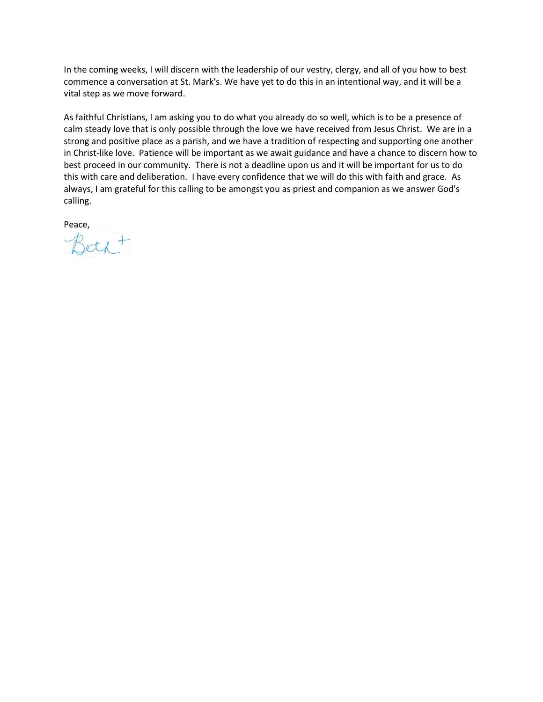In the coming weeks, I will discern with the leadership of our vestry, clergy, and all of you how to best commence a conversation at St. Mark's. We have yet to do this in an intentional way, and it will be a vital step as we move forward.

As faithful Christians, I am asking you to do what you already do so well, which is to be a presence of calm steady love that is only possible through the love we have received from Jesus Christ. We are in a strong and positive place as a parish, and we have a tradition of respecting and supporting one another in Christ-like love. Patience will be important as we await guidance and have a chance to discern how to best proceed in our community. There is not a deadline upon us and it will be important for us to do this with care and deliberation. I have every confidence that we will do this with faith and grace. As always, I am grateful for this calling to be amongst you as priest and companion as we answer God's calling.

Peace,

Beth +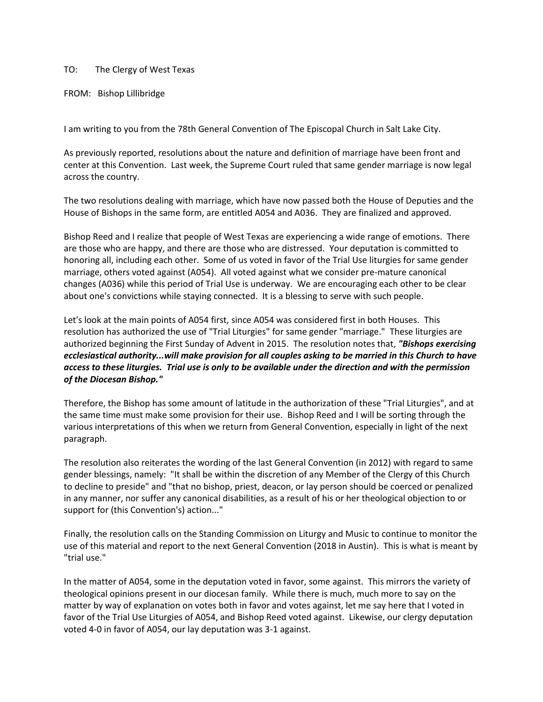## TO: The Clergy of West Texas

FROM: Bishop Lillibridge

I am writing to you from the 78th General Convention of The Episcopal Church in Salt Lake City.

As previously reported, resolutions about the nature and definition of marriage have been front and center at this Convention. Last week, the Supreme Court ruled that same gender marriage is now legal across the country.

The two resolutions dealing with marriage, which have now passed both the House of Deputies and the House of Bishops in the same form, are entitled A054 and A036. They are finalized and approved.

Bishop Reed and I realize that people of West Texas are experiencing a wide range of emotions. There are those who are happy, and there are those who are distressed. Your deputation is committed to honoring all, including each other. Some of us voted in favor of the Trial Use liturgies for same gender marriage, others voted against (A054). All voted against what we consider pre-mature canonical changes (A036) while this period of Trial Use is underway. We are encouraging each other to be clear about one's convictions while staying connected. It is a blessing to serve with such people.

Let's look at the main points of A054 first, since A054 was considered first in both Houses. This resolution has authorized the use of "Trial Liturgies" for same gender "marriage." These liturgies are authorized beginning the First Sunday of Advent in 2015. The resolution notes that, *"Bishops exercising ecclesiastical authority...will make provision for all couples asking to be married in this Church to have access to these liturgies. Trial use is only to be available under the direction and with the permission of the Diocesan Bishop."*

Therefore, the Bishop has some amount of latitude in the authorization of these "Trial Liturgies", and at the same time must make some provision for their use. Bishop Reed and I will be sorting through the various interpretations of this when we return from General Convention, especially in light of the next paragraph.

The resolution also reiterates the wording of the last General Convention (in 2012) with regard to same gender blessings, namely: "It shall be within the discretion of any Member of the Clergy of this Church to decline to preside" and "that no bishop, priest, deacon, or lay person should be coerced or penalized in any manner, nor suffer any canonical disabilities, as a result of his or her theological objection to or support for (this Convention's) action..."

Finally, the resolution calls on the Standing Commission on Liturgy and Music to continue to monitor the use of this material and report to the next General Convention (2018 in Austin). This is what is meant by "trial use."

In the matter of A054, some in the deputation voted in favor, some against. This mirrors the variety of theological opinions present in our diocesan family. While there is much, much more to say on the matter by way of explanation on votes both in favor and votes against, let me say here that I voted in favor of the Trial Use Liturgies of A054, and Bishop Reed voted against. Likewise, our clergy deputation voted 4-0 in favor of A054, our lay deputation was 3-1 against.